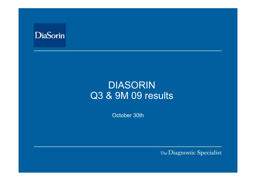

# DIASORIN Q3 & 9M 09 results

October 30th

The Diagnostic Specialist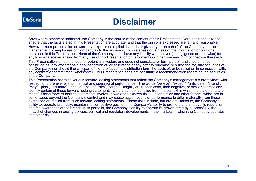### **Disclaimer**

Save where otherwise indicated, the Company is the source of the content of this Presentation. Care has been taken to ensure that the facts stated in this Presentation are accurate, and that the opinions expressed are fair and reasonable. However, no representation or warranty, express or implied, is made or given by or on behalf of the Company, or the management or employees of Company as to the accuracy, completeness or fairness of the information or opinions contained in this Presentation. None of the Company, shall have any liability whatsoever (in negligence or otherwise) for any loss whatsoever arising from any use of this Presentation or its contents or otherwise arising in connection therewith. This Presentation is not intended for potential investors and does not constitute or form part of, and should not be construed as, any offer for sale or subscription of, or solicitation of any offer to purchase or subscribe for, any securities of the Company, nor should it or any part of it or the fact of its distribution form the basis of, or be relied on in connection with, any contract or commitment whatsoever. This Presentation does not constitute a recommendation regarding the securities of the Company.

This Presentation contains various forward-looking statements that reflect the Company's management's current views with respect to future events and financial and operational performance. The words "believe", "expect", "anticipate", "intend", "may", "plan", "estimate", "should", "could", "aim", "target", "might", or, in each case, their negative, or similar expressions identify certain of these forward-looking statements. Others can be identified from the context in which the statements are made. These forward-looking statements involve known and unknown risks, uncertainties and other factors, which are in some cases beyond the Company's control and may cause actual results or performance to differ materially from those expressed or implied from such forward-looking statements. These risks include, but are not limited to, the Company's ability to, operate profitably, maintain its competitive position, the Company's ability to promote and improve its reputation and the awareness of the brands in its portfolio, the Company's ability to operate its growth strategy successfully, the impact of changes in pricing policies, political and regulatory developments in the markets in which the Company operates, and other risks.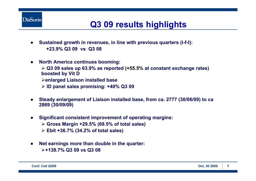

## **Q3 09 results highlights**

- $\bullet$  **Sustained growth in revenues, in line with previous quarters (l-f-l): +23.9% Q3 09 vs Q3 08**
- $\bullet$ **North America continues booming:**

¾ **Q3 09 sales up 63.9% as reported (+55.5% at constant exchange rates) boosted by Vit D**

¾**enlarged Liaison installed base**

¾ **ID panel sales promising: +40% Q3 09**

- ● **Steady enlargement of Liaison installed base, from ca. 2777 (30/06/09) to ca 2869 (30/09/09)**
- ● **Significant consistent improvement of operating margins:** 
	- ¾ **Gross Margin +29.5% (69.5% of total sales)**
	- ¾ **Ebit +36.7% (34.2% of total sales)**
- ● **Net earnings more than double in the quarter:** ¾**+138.7% Q3 09 vs Q3 08**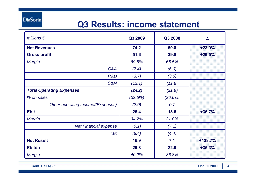**DiaSorin** 

### **Q3 Results: income statement**

| millions $\epsilon$               | Q3 2009 | Q3 2008 | Δ         |
|-----------------------------------|---------|---------|-----------|
| <b>Net Revenues</b>               | 74.2    | 59.8    | $+23.9%$  |
| <b>Gross profit</b>               | 51.6    | 39.8    | $+29.5%$  |
| <b>Margin</b>                     | 69.5%   | 66.5%   |           |
| G&A                               | (7.4)   | (6.6)   |           |
| R&D                               | (3.7)   | (3.6)   |           |
| <b>S&amp;M</b>                    | (13.1)  | (11.8)  |           |
| <b>Total Operating Expenses</b>   | (24.2)  | (21.9)  |           |
| % on sales                        | (32.6%) | (36.6%) |           |
| Other operating Income/(Expenses) | (2.0)   | 0.7     |           |
| <b>Ebit</b>                       | 25.4    | 18.6    | $+36.7%$  |
| Margin                            | 34.2%   | 31.0%   |           |
| <b>Net Financial expense</b>      | (0.1)   | (7.1)   |           |
| Tax                               | (8.4)   | (4.4)   |           |
| <b>Net Result</b>                 | 16.9    | 7.1     | $+138.7%$ |
| <b>Ebitda</b>                     | 29.8    | 22.0    | $+35.3%$  |
| <b>Margin</b>                     | 40.2%   | 36.8%   |           |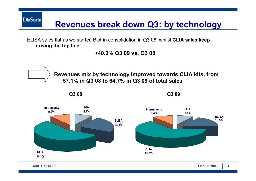**Revenues break down Q3: by technology**

ELISA sales flat as we started Biotrin consolidation in Q3 08, whilst **CLIA sales keep driving the top line**

**+40.3% Q3 09 vs. Q3 08**



**DiaSorin**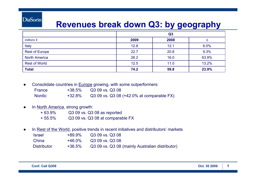### **DiaSorin**

### **Revenues break down Q3: by geography**

|                       | Q <sub>3</sub> |      |       |
|-----------------------|----------------|------|-------|
| millions $\epsilon$   | 2009           | 2008 |       |
| Italy                 | 12.8           | 12.1 | 6.0%  |
| <b>Rest of Europe</b> | 22.7           | 20.8 | 9.3%  |
| <b>North America</b>  | 26.2           | 16.0 | 63.9% |
| <b>Rest of World</b>  | 12.5           | 11.0 | 13.2% |
| <b>Total</b>          | 74.2           | 59.8 | 23.9% |

●Consolidate countries in Europe growing, with some outperformers:

| <b>France</b> | +38.5%    | Q3 09 vs. Q3 08                           |
|---------------|-----------|-------------------------------------------|
| <b>Nordic</b> | $+32.8\%$ | Q3 09 vs. Q3 08 (+42.0% at comparable FX) |

#### ●In North America, strong growth:

| + 63.9% | Q3 09 vs. Q3 08 as reported      |
|---------|----------------------------------|
| + 55.5% | Q3 09 vs. Q3 08 at comparable FX |

●In Rest of the World, positive trends in recent initiatives and distributors' markets

| <b>Israel</b>      | +89.9%    | Q3 09 vs. Q3 08                                 |
|--------------------|-----------|-------------------------------------------------|
| China              | $+46.0\%$ | Q3 09 vs. Q3 08                                 |
| <b>Distributor</b> | $+36.5\%$ | Q3 09 vs. Q3 08 (mainly Australian distributor) |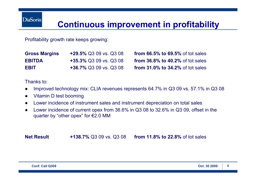### **Continuous improvement in profitability**

Profitability growth rate keeps growing:

**Gross Margins +29.5%** Q3 09 vs. Q3 08 **from 66.5% to 69.5%** of tot sales **EBITDA +35.3%** Q3 09 vs. Q3 08 **from 36.8% to 40.2%** of tot sales **EBIT +36.7%** Q3 09 vs. Q3 08 **from 31.0% to 34.2%** of tot sales

Thanks to:

- ●Improved technology mix: CLIA revenues represents 64.7% in Q3 09 vs. 57.1% in Q3 08
- ●Vitamin D test booming
- ●Lower incidence of instrument sales and instrument depreciation on total sales
- ● Lower incidence of current opex from 36.6% in Q3 08 to 32.6% in Q3 09, offset in the quarter by "other opex" for €2.0 MM

**Net Result+138.7%** Q3 09 vs. Q3 08 **from 11.8% to 22.8%** of tot sales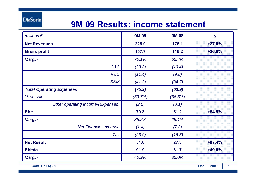**DiaSorin** 

## **9M 09 Results: income statement**

| millions $\epsilon$               | <b>9M09</b> | <b>9M08</b> | $\Delta$ |
|-----------------------------------|-------------|-------------|----------|
| <b>Net Revenues</b>               | 225.0       | 176.1       | $+27.8%$ |
| <b>Gross profit</b>               | 157.7       | 115.2       | $+36.9%$ |
| <b>Margin</b>                     | 70.1%       | 65.4%       |          |
| G&A                               | (23.3)      | (19.4)      |          |
| R&D                               | (11.4)      | (9.8)       |          |
| <b>S&amp;M</b>                    | (41.2)      | (34.7)      |          |
| <b>Total Operating Expenses</b>   | (75.9)      | (63.9)      |          |
| % on sales                        | (33.7%)     | (36.3%)     |          |
| Other operating Income/(Expenses) | (2.5)       | (0.1)       |          |
| <b>Ebit</b>                       | 79.3        | 51.2        | $+54.9%$ |
| <b>Margin</b>                     | 35.2%       | 29.1%       |          |
| <b>Net Financial expense</b>      | (1.4)       | (7.3)       |          |
| Tax                               | (23.9)      | (16.5)      |          |
| <b>Net Result</b>                 | 54.0        | 27.3        | $+97.4%$ |
| <b>Ebitda</b>                     | 91.9        | 61.7        | +49.0%   |
| <b>Margin</b>                     | 40.9%       | 35.0%       |          |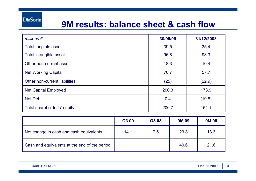### **9M results: balance sheet & cash flow**

| millions $\epsilon$           | 30/09/09 | 31/12/2008 |
|-------------------------------|----------|------------|
| Total tangible asset          | 39.5     | 35.4       |
| Total intangible asset        | 96.8     | 93.3       |
| Other non-current asset       | 18.3     | 10.4       |
| <b>Net Working Capital</b>    | 70.7     | 57.7       |
| Other non-current liabilities | (25)     | (22.9)     |
| <b>Net Capital Employed</b>   | 200.3    | 173.9      |
| <b>Net Debt</b>               | 0.4      | (19.8)     |
| Total shareholder's' equity   | 200.7    | 154.1      |

|                                               | Q3 09 | Q3 08 | <b>9M09</b> | <b>9M08</b> |
|-----------------------------------------------|-------|-------|-------------|-------------|
| Net change in cash and cash equivalents       | 14.1  | 7.5   | 23.8        | 13.3        |
| Cash and equivalents at the end of the period |       |       | 40.6        | 21.6        |